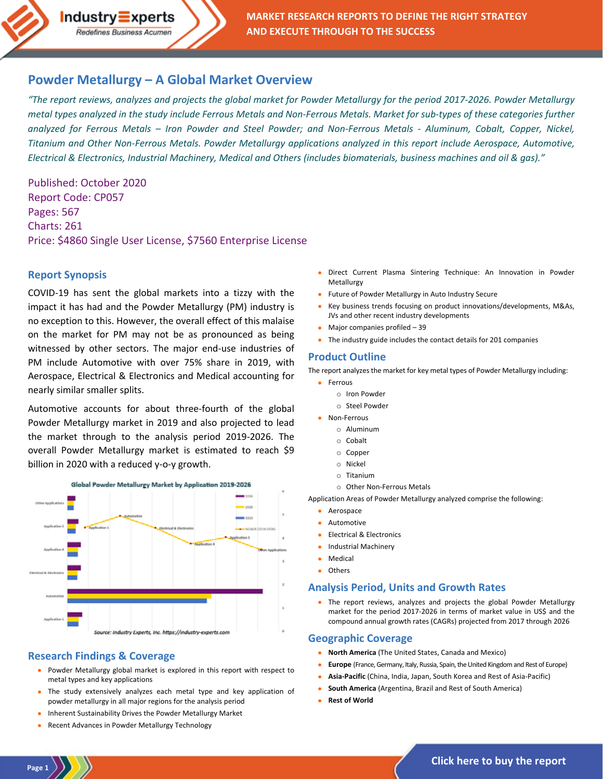# **Powder Metallurgy – [A Global Market Overview](https://industry-experts.com/verticals/chemicals-and-materials/powder-metallurgy-a-global-market-overview)**

*"The report reviews, analyzes and projects the global market for Powder Metallurgy for the period 2017-2026. Powder Metallurgy metal types analyzed in the study include Ferrous Metals and Non-Ferrous Metals. Market for sub-types of these categories further analyzed for Ferrous Metals – Iron Powder and Steel Powder; and Non-Ferrous Metals - Aluminum, Cobalt, Copper, Nickel, Titanium and Other Non-Ferrous Metals. Powder Metallurgy applications analyzed in this report include Aerospace, Automotive, Electrical & Electronics, Industrial Machinery, Medical and Others (includes biomaterials, business machines and oil & gas)."*

Published: October 2020 Report Code: CP057 Pages: 567 Charts: 261 Price: \$4860 Single User License, \$7560 Enterprise License

## **Report Synopsis**

COVID-19 has sent the global markets into a tizzy with the impact it has had and the Powder Metallurgy (PM) industry is no exception to this. However, the overall effect of this malaise on the market for PM may not be as pronounced as being witnessed by other sectors. The major end-use industries of PM include Automotive with over 75% share in 2019, with Aerospace, Electrical & Electronics and Medical accounting for nearly similar smaller splits.

Automotive accounts for about three-fourth of the global Powder Metallurgy market in 2019 and also projected to lead the market through to the analysis period 2019-2026. The overall Powder Metallurgy market is estimated to reach \$9 billion in 2020 with a reduced y-o-y growth.



## **Research Findings & Coverage**

- Powder Metallurgy global market is explored in this report with respect to metal types and key applications
- The study extensively analyzes each metal type and key application of powder metallurgy in all major regions for the analysis period
- Inherent Sustainability Drives the Powder Metallurgy Market
- Recent Advances in Powder Metallurgy Technology
- Direct Current Plasma Sintering Technique: An Innovation in Powder Metallurgy
- Future of Powder Metallurgy in Auto Industry Secure
- Key business trends focusing on product innovations/developments, M&As, JVs and other recent industry developments
- Major companies profiled 39
- The industry guide includes the contact details for 201 companies

#### **Product Outline**

The report analyzes the market for key metal types of Powder Metallurgy including:

- Ferrous
	- o Iron Powder
	- o Steel Powder
	- Non-Ferrous
		- o Aluminum
		- o Cobalt
		- o Copper
		- o Nickel
		- o Titanium
		- o Other Non-Ferrous Metals

Application Areas of Powder Metallurgy analyzed comprise the following:

- Aerospace
- **Automotive**
- Electrical & Electronics
- Industrial Machinery
- Medical
- **Others**

## **Analysis Period, Units and Growth Rates**

• The report reviews, analyzes and projects the global Powder Metallurgy market for the period 2017-2026 in terms of market value in US\$ and the compound annual growth rates (CAGRs) projected from 2017 through 2026

## **Geographic Coverage**

- **North America** (The United States, Canada and Mexico)
- **Europe** (France, Germany, Italy, Russia, Spain, the United Kingdom and Rest of Europe)
- **Asia-Pacific** (China, India, Japan, South Korea and Rest of Asia-Pacific)
- **South America** (Argentina, Brazil and Rest of South America)
- **Rest of World**

**Page 1**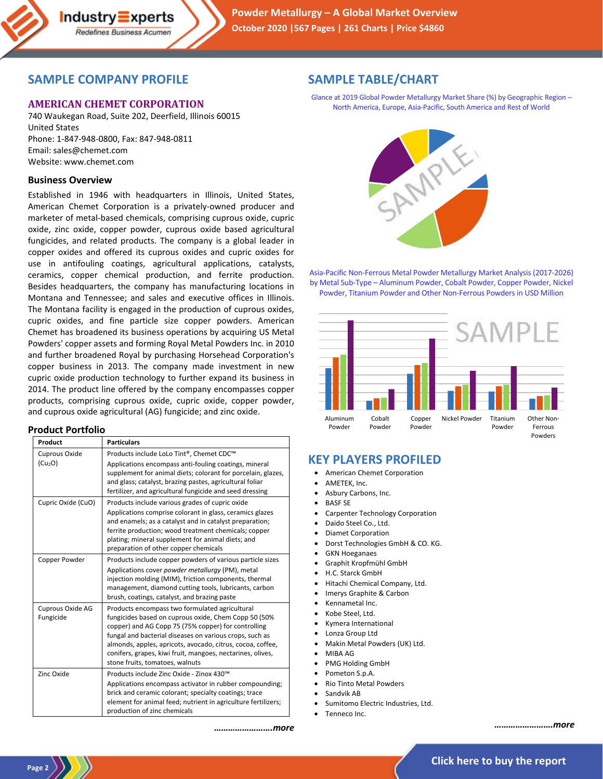# **SAMPLE COMPANY PROFILE**

## **AMERICAN CHEMET CORPORATION**

 $Industry\equiv xperts$ Redefines Business Acumen

740 Waukegan Road, Suite 202, Deerfield, Illinois 60015 United States Phone: 1-847-948-0800, Fax: 847-948-0811 Email: sales@chemet.com Website: www.chemet.com

## **Business Overview**

Established in 1946 with headquarters in Illinois, United States, American Chemet Corporation is a privately-owned producer and marketer of metal-based chemicals, comprising cuprous oxide, cupric oxide, zinc oxide, copper powder, cuprous oxide based agricultural fungicides, and related products. The company is a global leader in copper oxides and offered its cuprous oxides and cupric oxides for use in antifouling coatings, agricultural applications, catalysts, ceramics, copper chemical production, and ferrite production. Besides headquarters, the company has manufacturing locations in Montana and Tennessee; and sales and executive offices in Illinois. The Montana facility is engaged in the production of cuprous oxides, cupric oxides, and fine particle size copper powders. American Chemet has broadened its business operations by acquiring US Metal Powders' copper assets and forming Royal Metal Powders Inc. in 2010 and further broadened Royal by purchasing Horsehead Corporation's copper business in 2013. The company made investment in new cupric oxide production technology to further expand its business in 2014. The product line offered by the company encompasses copper products, comprising cuprous oxide, cupric oxide, copper powder, and cuprous oxide agricultural (AG) fungicide; and zinc oxide.

## **Product Portfolio**

| Product                              | <b>Particulars</b>                                                                                                                                                                                                                                                                                                                                                                      |
|--------------------------------------|-----------------------------------------------------------------------------------------------------------------------------------------------------------------------------------------------------------------------------------------------------------------------------------------------------------------------------------------------------------------------------------------|
| Cuprous Oxide<br>(Cu <sub>2</sub> O) | Products include LoLo Tint®, Chemet CDC™<br>Applications encompass anti-fouling coatings, mineral<br>supplement for animal diets; colorant for porcelain, glazes,<br>and glass; catalyst, brazing pastes, agricultural foliar<br>fertilizer, and agricultural fungicide and seed dressing                                                                                               |
| Cupric Oxide (CuO)                   | Products include various grades of cupric oxide<br>Applications comprise colorant in glass, ceramics glazes<br>and enamels; as a catalyst and in catalyst preparation;<br>ferrite production; wood treatment chemicals; copper<br>plating; mineral supplement for animal diets; and<br>preparation of other copper chemicals                                                            |
| Copper Powder                        | Products include copper powders of various particle sizes<br>Applications cover powder metallurgy (PM), metal<br>injection molding (MIM), friction components, thermal<br>management, diamond cutting tools, lubricants, carbon<br>brush, coatings, catalyst, and brazing paste                                                                                                         |
| Cuprous Oxide AG<br>Fungicide        | Products encompass two formulated agricultural<br>fungicides based on cuprous oxide, Chem Copp 50 (50%<br>copper) and AG Copp 75 (75% copper) for controlling<br>fungal and bacterial diseases on various crops, such as<br>almonds, apples, apricots, avocado, citrus, cocoa, coffee,<br>conifers, grapes, kiwi fruit, mangoes, nectarines, olives,<br>stone fruits, tomatoes, walnuts |
| Zinc Oxide                           | Products include Zinc Oxide - Zinox 430™<br>Applications encompass activator in rubber compounding;<br>brick and ceramic colorant; specialty coatings; trace<br>element for animal feed; nutrient in agriculture fertilizers;<br>production of zinc chemicals                                                                                                                           |

*…………………….more*

## **SAMPLE TABLE/CHART**

Glance at 2019 Global Powder Metallurgy Market Share (%) by Geographic Region – North America, Europe, Asia-Pacific, South America and Rest of World



Asia-Pacific Non-Ferrous Metal Powder Metallurgy Market Analysis (2017-2026) by Metal Sub-Type – Aluminum Powder, Cobalt Powder, Copper Powder, Nickel Powder, Titanium Powder and Other Non-Ferrous Powders in USD Million



## **KEY PLAYERS PROFILED**

- American Chemet Corporation
- AMETEK, Inc.
- Asbury Carbons, Inc.
- **BASF SE**
- Carpenter Technology Corporation
- Daido Steel Co., Ltd.
- Diamet Corporation
- Dorst Technologies GmbH & CO. KG.
- GKN Hoeganaes
- Graphit Kropfmühl GmbH
- H.C. Starck GmbH
- Hitachi Chemical Company, Ltd.
- Imerys Graphite & Carbon
- Kennametal Inc.
- Kobe Steel, Ltd.
- Kymera International
- Lonza Group Ltd
- Makin Metal Powders (UK) Ltd.
- MIBA AG
- PMG Holding GmbH
- Pometon S.p.A.
- Rio Tinto Metal Powders
- Sandvik AB
- Sumitomo Electric Industries, Ltd.
- Tenneco Inc.

*…………………….more*

**Page 2**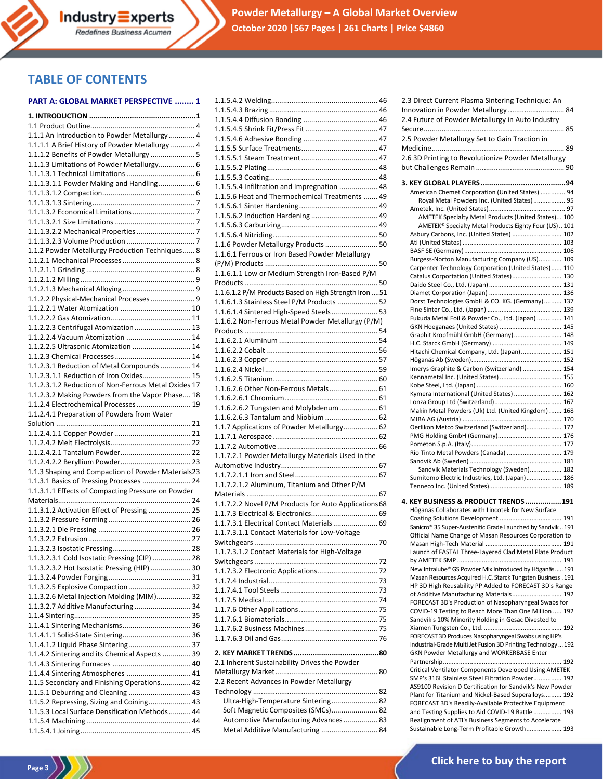# **TABLE OF CONTENTS**

#### **PART A: GLOBAL MARKET PERSPECTIVE ........ 1**

| 1.1.1 An Introduction to Powder Metallurgy 4                             |  |
|--------------------------------------------------------------------------|--|
| 1.1.1.1 A Brief History of Powder Metallurgy  4                          |  |
| 1.1.1.2 Benefits of Powder Metallurgy  5                                 |  |
| 1.1.1.3 Limitations of Powder Metallurgy 6                               |  |
|                                                                          |  |
| 1.1.1.3.1.1 Powder Making and Handling 6                                 |  |
|                                                                          |  |
|                                                                          |  |
|                                                                          |  |
|                                                                          |  |
|                                                                          |  |
|                                                                          |  |
| 1.1.2 Powder Metallurgy Production Techniques 8                          |  |
|                                                                          |  |
|                                                                          |  |
|                                                                          |  |
|                                                                          |  |
| 1.1.2.2 Physical-Mechanical Processes  9                                 |  |
|                                                                          |  |
|                                                                          |  |
| 1.1.2.2.3 Centrifugal Atomization 13                                     |  |
| 1.1.2.2.4 Vacuum Atomization  14<br>1.1.2.2.5 Ultrasonic Atomization  14 |  |
|                                                                          |  |
| 1.1.2.3.1 Reduction of Metal Compounds  14                               |  |
| 1.1.2.3.1.1 Reduction of Iron Oxides 15                                  |  |
| 1.1.2.3.1.2 Reduction of Non-Ferrous Metal Oxides 17                     |  |
| 1.1.2.3.2 Making Powders from the Vapor Phase 18                         |  |
| 1.1.2.4 Electrochemical Processes  19                                    |  |
| 1.1.2.4.1 Preparation of Powders from Water                              |  |
|                                                                          |  |
|                                                                          |  |
|                                                                          |  |
|                                                                          |  |
|                                                                          |  |
| 1.1.3 Shaping and Compaction of Powder Materials23                       |  |
| 1.1.3.1 Basics of Pressing Processes  24                                 |  |
| 1.1.3.1.1 Effects of Compacting Pressure on Powder                       |  |
|                                                                          |  |
| 1.1.3.1.2 Activation Effect of Pressing  25                              |  |
|                                                                          |  |
|                                                                          |  |
|                                                                          |  |
|                                                                          |  |
|                                                                          |  |
| 1.1.3.2.3.1 Cold Isostatic Pressing (CIP)  28                            |  |
| 1.1.3.2.3.2 Hot Isostatic Pressing (HIP)  30                             |  |
|                                                                          |  |
| 1.1.3.2.5 Explosive Compaction 32                                        |  |
| 1.1.3.2.6 Metal Injection Molding (MIM) 32                               |  |
| 1.1.3.2.7 Additive Manufacturing  34                                     |  |
|                                                                          |  |
|                                                                          |  |
|                                                                          |  |
| 1.1.4.1.2 Liquid Phase Sintering 37                                      |  |
| 1.1.4.2 Sintering and its Chemical Aspects  39                           |  |
|                                                                          |  |
| 1.1.4.4 Sintering Atmospheres  41                                        |  |
| 1.1.5 Secondary and Finishing Operations 42                              |  |
| 1.1.5.1 Deburring and Cleaning  43                                       |  |
| 1.1.5.2 Repressing, Sizing and Coining 43                                |  |
| 1.1.5.3 Local Surface Densification Methods  44                          |  |
|                                                                          |  |

Page 3

| 1.1.5.5.4 Infiltration and Impregnation  48                              |  |
|--------------------------------------------------------------------------|--|
| 1.1.5.6 Heat and Thermochemical Treatments  49                           |  |
|                                                                          |  |
|                                                                          |  |
|                                                                          |  |
|                                                                          |  |
| 1.1.6 Powder Metallurgy Products  50                                     |  |
| 1.1.6.1 Ferrous or Iron Based Powder Metallurgy                          |  |
|                                                                          |  |
| 1.1.6.1.1 Low or Medium Strength Iron-Based P/M                          |  |
|                                                                          |  |
| 1.1.6.1.2 P/M Products Based on High Strength Iron  51                   |  |
| 1.1.6.1.3 Stainless Steel P/M Products  52                               |  |
| 1.1.6.1.4 Sintered High-Speed Steels 53                                  |  |
| 1.1.6.2 Non-Ferrous Metal Powder Metallurgy (P/M)                        |  |
|                                                                          |  |
|                                                                          |  |
|                                                                          |  |
|                                                                          |  |
|                                                                          |  |
| 1.1.6.2.6 Other Non-Ferrous Metals 61                                    |  |
|                                                                          |  |
| 1.1.6.2.6.2 Tungsten and Molybdenum 61                                   |  |
| 1.1.6.2.6.3 Tantalum and Niobium  62                                     |  |
|                                                                          |  |
| 1.1.7 Applications of Powder Metallurgy 62                               |  |
|                                                                          |  |
|                                                                          |  |
| 1.1.7.2.1 Powder Metallurgy Materials Used in the                        |  |
|                                                                          |  |
|                                                                          |  |
| 1.1.7.2.1.2 Aluminum, Titanium and Other P/M                             |  |
|                                                                          |  |
| 1.1.7.2.2 Novel P/M Products for Auto Applications 68                    |  |
|                                                                          |  |
| 1.1.7.3.1 Electrical Contact Materials  69                               |  |
| 1.1.7.3.1.1 Contact Materials for Low-Voltage                            |  |
|                                                                          |  |
| 1.1.7.3.1.2 Contact Materials for High-Voltage                           |  |
|                                                                          |  |
|                                                                          |  |
|                                                                          |  |
|                                                                          |  |
|                                                                          |  |
|                                                                          |  |
|                                                                          |  |
|                                                                          |  |
|                                                                          |  |
| 2.1 Inherent Sustainability Drives the Powder                            |  |
|                                                                          |  |
| 2.2 Recent Advances in Powder Metallurgy                                 |  |
|                                                                          |  |
| Ultra-High-Temperature Sintering 82                                      |  |
| Soft Magnetic Composites (SMCs) 82                                       |  |
| Automotive Manufacturing Advances 83<br>Metal Additive Manufacturing  84 |  |

| 2.3 Direct Current Plasma Sintering Technique: An                                                                      |
|------------------------------------------------------------------------------------------------------------------------|
| Innovation in Powder Metallurgy  84<br>2.4 Future of Powder Metallurgy in Auto Industry                                |
| 2.5 Powder Metallurgy Set to Gain Traction in                                                                          |
| 2.6 3D Printing to Revolutionize Powder Metallurgy                                                                     |
|                                                                                                                        |
|                                                                                                                        |
| American Chemet Corporation (United States)  94<br>Royal Metal Powders Inc. (United States) 95                         |
|                                                                                                                        |
| AMETEK Specialty Metal Products (United States) 100                                                                    |
| AMETEK® Specialty Metal Products Eighty Four (US) 101                                                                  |
| Asbury Carbons, Inc. (United States)  102                                                                              |
|                                                                                                                        |
| Burgess-Norton Manufacturing Company (US) 109                                                                          |
| Carpenter Technology Corporation (United States) 110                                                                   |
| Catalus Corportation (United States) 130                                                                               |
|                                                                                                                        |
| Dorst Technologies GmbH & CO. KG. (Germany) 137                                                                        |
|                                                                                                                        |
| Fukuda Metal Foil & Powder Co., Ltd. (Japan)  141                                                                      |
| Graphit Kropfmühl GmbH (Germany) 148                                                                                   |
|                                                                                                                        |
| Hitachi Chemical Company, Ltd. (Japan) 151                                                                             |
| Imerys Graphite & Carbon (Switzerland)  154                                                                            |
|                                                                                                                        |
|                                                                                                                        |
| Kymera International (United States)  162                                                                              |
| Makin Metal Powders (Uk) Ltd. (United Kingdom)  168                                                                    |
|                                                                                                                        |
| Oerlikon Metco Switzerland (Switzerland) 172                                                                           |
|                                                                                                                        |
| Rio Tinto Metal Powders (Canada)  179                                                                                  |
|                                                                                                                        |
| Sandvik Materials Technology (Sweden) 182                                                                              |
| Sumitomo Electric Industries, Ltd. (Japan) 186                                                                         |
| 4. KEY BUSINESS & PRODUCT TRENDS 191                                                                                   |
| Höganäs Collaborates with Lincotek for New Surface                                                                     |
| Coating Solutions Development  191                                                                                     |
| Sanicro® 35 Super-Austenitic Grade Launched by Sandvik  191<br>Official Name Change of Masan Resources Corporation to  |
|                                                                                                                        |
| Launch of FASTAL Three-Layered Clad Metal Plate Product                                                                |
|                                                                                                                        |
| New Intralube® GS Powder Mix Introduced by Höganäs 191<br>Masan Resources Acquired H.C. Starck Tungsten Business . 191 |
| HP 3D High Reusability PP Added to FORECAST 3D's Range                                                                 |
| of Additive Manufacturing Materials 192                                                                                |
| FORECAST 3D's Production of Nasopharyngeal Swabs for                                                                   |
| COVID-19 Testing to Reach More Than One Million  192<br>Sandvik's 10% Minority Holding in Gesac Divested to            |
|                                                                                                                        |
| FORECAST 3D Produces Nasopharyngeal Swabs using HP's                                                                   |
| Industrial-Grade Multi Jet Fusion 3D Printing Technology  192<br>GKN Powder Metallurgy and WORKERBASE Enter            |
|                                                                                                                        |
| Critical Ventilator Components Developed Using AMETEK                                                                  |
| SMP's 316L Stainless Steel Filtration Powder 192                                                                       |
| AS9100 Revision D Certification for Sandvik's New Powder                                                               |
| Plant for Titanium and Nickel-Based Superalloys 192<br>FORECAST 3D's Readily-Available Protective Equipment            |
| and Testing Supplies to Aid COVID-19 Battle  193                                                                       |
| Realignment of ATI's Business Segments to Accelerate                                                                   |

Sustainable Long-Term Profitable Growth.................... 193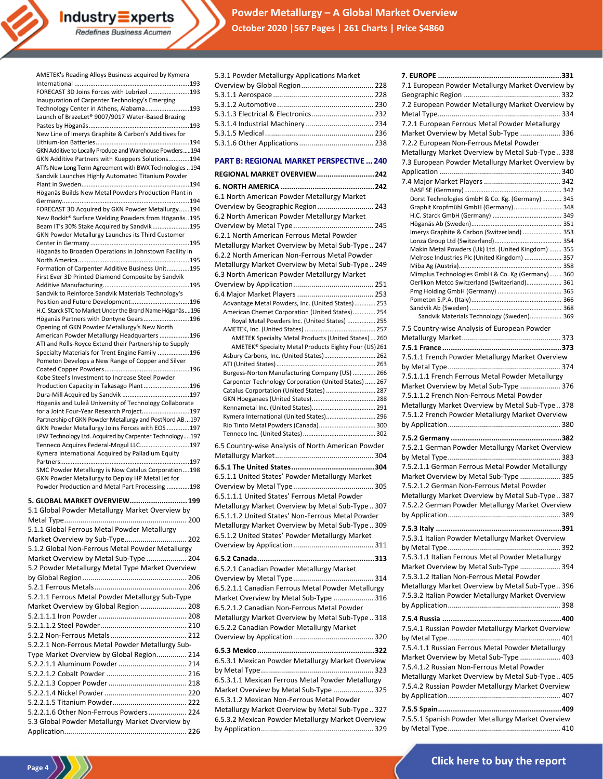

# **Powder Metallurgy – A Global Market Overview October 2020 |567 Pages | 261 Charts | Price \$4860**

| AMETEK's Reading Alloys Business acquired by Kymera                                                    |
|--------------------------------------------------------------------------------------------------------|
|                                                                                                        |
| FORECAST 3D Joins Forces with Lubrizol 193<br>Inauguration of Carpenter Technology's Emerging          |
| Technology Center in Athens, Alabama193                                                                |
| Launch of BrazeLet <sup>®</sup> 9007/9017 Water-Based Brazing                                          |
|                                                                                                        |
| New Line of Imerys Graphite & Carbon's Additives for                                                   |
| GKN Additive to Locally Produce and Warehouse Powders194                                               |
| GKN Additive Partners with Kueppers Solutions194                                                       |
| ATI's New Long Term Agreement with BWX Technologies  194                                               |
| Sandvik Launches Highly Automated Titanium Powder                                                      |
| Höganäs Builds New Metal Powders Production Plant in                                                   |
|                                                                                                        |
| FORECAST 3D Acquired by GKN Powder Metallurgy194                                                       |
| New Rockit® Surface Welding Powders from Höganäs195                                                    |
| Beam IT's 30% Stake Acquired by Sandvik195<br>GKN Powder Metallurgy Launches its Third Customer        |
|                                                                                                        |
| Höganäs to Broaden Operations in Johnstown Facility in                                                 |
|                                                                                                        |
| Formation of Carpenter Additive Business Unit195<br>First Ever 3D Printed Diamond Composite by Sandvik |
|                                                                                                        |
| Sandvik to Reinforce Sandvik Materials Technology's                                                    |
| Position and Future Development196                                                                     |
| H.C. Starck STC to Market Under the Brand Name Höganäs196                                              |
| Höganäs Partners with Dontyne Gears196<br>Opening of GKN Powder Metallurgy's New North                 |
| American Powder Metallurgy Headquarters 196                                                            |
| ATI and Rolls-Royce Extend their Partnership to Supply                                                 |
| Specialty Materials for Trent Engine Family 196<br>Pometon Develops a New Range of Copper and Silver   |
|                                                                                                        |
| Kobe Steel's Investment to Increase Steel Powder                                                       |
| Production Capacity in Takasago Plant196                                                               |
| Höganäs and Luleå University of Technology Collaborate                                                 |
| for a Joint Four-Year Research Project197                                                              |
| Partnership of GKN Powder Metallurgy and PostNord AB197                                                |
| GKN Powder Metallurgy Joins Forces with EOS 197                                                        |
| LPW Technology Ltd. Acquired by Carpenter Technology197<br>Tenneco Acquires Federal-Mogul LLC197       |
| Kymera International Acquired by Palladium Equity                                                      |
|                                                                                                        |
| SMC Powder Metallurgy is Now Catalus Corporation198                                                    |
| GKN Powder Metallurgy to Deploy HP Metal Jet for<br>Powder Production and Metal Part Processing 198    |
|                                                                                                        |
| 5. GLOBAL MARKET OVERVIEW 199<br>5.1 Global Powder Metallurgy Market Overview by                       |
|                                                                                                        |
| 5.1.1 Global Ferrous Metal Powder Metallurgy                                                           |
| Market Overview by Sub-Type 202                                                                        |
| 5.1.2 Global Non-Ferrous Metal Powder Metallurgy                                                       |
| Market Overview by Metal Sub-Type  204                                                                 |
| 5.2 Powder Metallurgy Metal Type Market Overview                                                       |
|                                                                                                        |
|                                                                                                        |
| 5.2.1.1 Ferrous Metal Powder Metallurgy Sub-Type                                                       |
| Market Overview by Global Region  208                                                                  |
|                                                                                                        |
|                                                                                                        |
| 5.2.2.1 Non-Ferrous Metal Powder Metallurgy Sub-                                                       |
| Type Market Overview by Global Region 214                                                              |
| 5.2.2.1.1 Aluminum Powder  214                                                                         |
|                                                                                                        |
|                                                                                                        |
|                                                                                                        |
| 5.2.2.1.6 Other Non-Ferrous Powders 224                                                                |
| 5.3 Global Powder Metallurgy Market Overview by                                                        |
|                                                                                                        |

Page 4  $\langle \rangle$ 

| 5.3.1 Powder Metallurgy Applications Market |  |
|---------------------------------------------|--|
|                                             |  |
|                                             |  |
|                                             |  |
| 5.3.1.3 Electrical & Electronics 232        |  |
| 5.3.1.4 Industrial Machinery 234            |  |
|                                             |  |
|                                             |  |
|                                             |  |

#### **PART B: REGIONAL MARKET PERSPECTIVE ...240**

| REGIONAL MARKET OVERVIEW242                                                                       |
|---------------------------------------------------------------------------------------------------|
| 6.1 North American Powder Metallurgy Market                                                       |
| Overview by Geographic Region 243<br>6.2 North American Powder Metallurgy Market                  |
|                                                                                                   |
| 6.2.1 North American Ferrous Metal Powder                                                         |
| Metallurgy Market Overview by Metal Sub-Type 247<br>6.2.2 North American Non-Ferrous Metal Powder |
| Metallurgy Market Overview by Metal Sub-Type 249                                                  |
| 6.3 North American Powder Metallurgy Market                                                       |
|                                                                                                   |
| Advantage Metal Powders, Inc. (United States) 253                                                 |
| American Chemet Corporation (United States) 254                                                   |
| Royal Metal Powders Inc. (United States)  255                                                     |
|                                                                                                   |
| AMETEK Specialty Metal Products (United States) 260                                               |
| AMETEK® Specialty Metal Products Eighty Four (US)261<br>Asbury Carbons, Inc. (United States) 262  |
|                                                                                                   |
| Burgess-Norton Manufacturing Company (US)  266                                                    |
| Carpenter Technology Corporation (United States)  267                                             |
| Catalus Corportation (United States)  287                                                         |
|                                                                                                   |
| Kymera International (United States) 296                                                          |
| Rio Tinto Metal Powders (Canada) 300                                                              |
|                                                                                                   |
| 6.5 Country-wise Analysis of North American Powder                                                |
|                                                                                                   |
|                                                                                                   |
| 6.5.1.1 United States' Powder Metallurgy Market                                                   |
| 6.5.1.1.1 United States' Ferrous Metal Powder                                                     |
| Metallurgy Market Overview by Metal Sub-Type 307                                                  |
| 6.5.1.1.2 United States' Non-Ferrous Metal Powder                                                 |
| Metallurgy Market Overview by Metal Sub-Type 309                                                  |
| 6.5.1.2 United States' Powder Metallurgy Market                                                   |
|                                                                                                   |
|                                                                                                   |
| 6.5.2.1 Canadian Powder Metallurgy Market                                                         |
|                                                                                                   |
| 6.5.2.1.1 Canadian Ferrous Metal Powder Metallurgy                                                |
| Market Overview by Metal Sub-Type  316                                                            |
| 6.5.2.1.2 Canadian Non-Ferrous Metal Powder                                                       |
| Metallurgy Market Overview by Metal Sub-Type 318                                                  |
| 6.5.2.2 Canadian Powder Metallurgy Market                                                         |
|                                                                                                   |
|                                                                                                   |
| 6.5.3.1 Mexican Powder Metallurgy Market Overview                                                 |
|                                                                                                   |
| 6.5.3.1.1 Mexican Ferrous Metal Powder Metallurgy                                                 |
| Market Overview by Metal Sub-Type  325                                                            |
| 6.5.3.1.2 Mexican Non-Ferrous Metal Powder                                                        |
| Metallurgy Market Overview by Metal Sub-Type 327                                                  |
| 6.5.3.2 Mexican Powder Metallurgy Market Overview                                                 |
|                                                                                                   |

| 7.1 European Powder Metallurgy Market Overview by                                                     |
|-------------------------------------------------------------------------------------------------------|
| 7.2 European Powder Metallurgy Market Overview by                                                     |
|                                                                                                       |
| 7.2.1 European Ferrous Metal Powder Metallurgy                                                        |
| Market Overview by Metal Sub-Type  336                                                                |
| 7.2.2 European Non-Ferrous Metal Powder                                                               |
| Metallurgy Market Overview by Metal Sub-Type 338<br>7.3 European Powder Metallurgy Market Overview by |
|                                                                                                       |
|                                                                                                       |
| Dorst Technologies GmbH & Co. Kg. (Germany)  345                                                      |
| Graphit Kropfmühl GmbH (Germany) 348                                                                  |
|                                                                                                       |
| Imerys Graphite & Carbon (Switzerland)  353                                                           |
|                                                                                                       |
| Makin Metal Powders (Uk) Ltd. (United Kingdom)  355<br>Melrose Industries Plc (United Kingdom)  357   |
|                                                                                                       |
| Mimplus Technologies GmbH & Co. Kg (Germany) 360<br>Oerlikon Metco Switzerland (Switzerland) 361      |
|                                                                                                       |
|                                                                                                       |
| Sandvik Materials Technology (Sweden) 369                                                             |
| 7.5 Country-wise Analysis of European Powder                                                          |
|                                                                                                       |
|                                                                                                       |
| 7.5.1.1 French Powder Metallurgy Market Overview                                                      |
| 7.5.1.1.1 French Ferrous Metal Powder Metallurgy                                                      |
| Market Overview by Metal Sub-Type  376                                                                |
| 7.5.1.1.2 French Non-Ferrous Metal Powder                                                             |
| Metallurgy Market Overview by Metal Sub-Type 378                                                      |
| 7.5.1.2 French Powder Metallurgy Market Overview                                                      |
|                                                                                                       |
| 7.5.2.1 German Powder Metallurgy Market Overview                                                      |
|                                                                                                       |
| 7.5.2.1.1 German Ferrous Metal Powder Metallurgy                                                      |
| Market Overview by Metal Sub-Type  385<br>7.5.2.1.2 German Non-Ferrous Metal Powder                   |
| Metallurgy Market Overview by Metal Sub-Type 387                                                      |
| 7.5.2.2 German Powder Metallurgy Market Overview                                                      |
|                                                                                                       |
|                                                                                                       |
| 7.5.3.1 Italian Powder Metallurgy Market Overview                                                     |
|                                                                                                       |
| 7.5.3.1.1 Italian Ferrous Metal Powder Metallurgy<br>Market Overview by Metal Sub-Type  394           |
| 7.5.3.1.2 Italian Non-Ferrous Metal Powder                                                            |
| Metallurgy Market Overview by Metal Sub-Type 396                                                      |
| 7.5.3.2 Italian Powder Metallurgy Market Overview                                                     |
|                                                                                                       |
|                                                                                                       |
| 7.5.4.1 Russian Powder Metallurgy Market Overview                                                     |
| 7.5.4.1.1 Russian Ferrous Metal Powder Metallurgy                                                     |
| Market Overview by Metal Sub-Type  403                                                                |
| 7.5.4.1.2 Russian Non-Ferrous Metal Powder                                                            |
| Metallurgy Market Overview by Metal Sub-Type 405<br>7.5.4.2 Russian Powder Metallurgy Market Overview |
|                                                                                                       |
|                                                                                                       |
| 7.5.5.1 Spanish Powder Metallurgy Market Overview                                                     |
|                                                                                                       |
|                                                                                                       |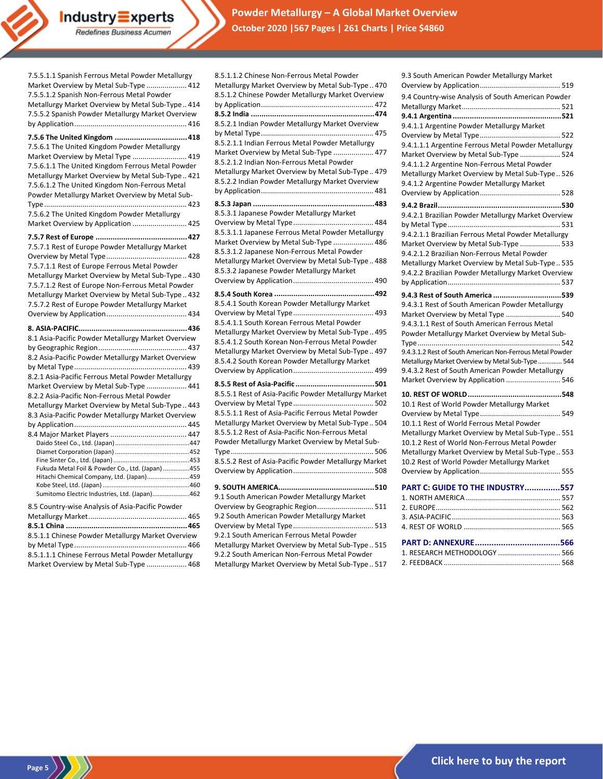Industry Experts Redefines Business Acumen

**Powder Metallurgy – A Global Market Overview October 2020 |567 Pages | 261 Charts | Price \$4860**

8.5.1.1.2 Chinese Non-Ferrous Metal Powder Metallurgy Market Overview by Metal Sub-Type .. 470 8.5.1.2 Chinese Powder Metallurgy Market Overview by Application........................................................ 472 **8.5.2 India ..........................................................474**

| 7.5.5.1.1 Spanish Ferrous Metal Powder Metallurgy<br>Market Overview by Metal Sub-Type  412<br>7.5.5.1.2 Spanish Non-Ferrous Metal Powder<br>Metallurgy Market Overview by Metal Sub-Type 414<br>7.5.5.2 Spanish Powder Metallurgy Market Overview                                                                                                                                                                                                           |
|--------------------------------------------------------------------------------------------------------------------------------------------------------------------------------------------------------------------------------------------------------------------------------------------------------------------------------------------------------------------------------------------------------------------------------------------------------------|
| 7.5.6.1 The United Kingdom Powder Metallurgy<br>Market Overview by Metal Type  419<br>7.5.6.1.1 The United Kingdom Ferrous Metal Powder<br>Metallurgy Market Overview by Metal Sub-Type  421<br>7.5.6.1.2 The United Kingdom Non-Ferrous Metal<br>Powder Metallurgy Market Overview by Metal Sub-<br>7.5.6.2 The United Kingdom Powder Metallurgy<br>Market Overview by Application  425                                                                     |
| 7.5.7.1 Rest of Europe Powder Metallurgy Market<br>7.5.7.1.1 Rest of Europe Ferrous Metal Powder<br>Metallurgy Market Overview by Metal Sub-Type 430<br>7.5.7.1.2 Rest of Europe Non-Ferrous Metal Powder<br>Metallurgy Market Overview by Metal Sub-Type 432<br>7.5.7.2 Rest of Europe Powder Metallurgy Market                                                                                                                                             |
| 8.1 Asia-Pacific Powder Metallurgy Market Overview                                                                                                                                                                                                                                                                                                                                                                                                           |
| 8.2 Asia-Pacific Powder Metallurgy Market Overview<br>8.2.1 Asia-Pacific Ferrous Metal Powder Metallurgy<br>Market Overview by Metal Sub-Type  441<br>8.2.2 Asia-Pacific Non-Ferrous Metal Powder<br>Metallurgy Market Overview by Metal Sub-Type 443<br>8.3 Asia-Pacific Powder Metallurgy Market Overview<br>Fukuda Metal Foil & Powder Co., Ltd. (Japan)455<br>Hitachi Chemical Company, Ltd. (Japan)459<br>Sumitomo Electric Industries, Ltd. (Japan)462 |

Market Overview by Metal Sub-Type .................... 468

| 9.3 South American Powder Metallurgy Market                                                          |
|------------------------------------------------------------------------------------------------------|
| 9.4 Country-wise Analysis of South American Powder                                                   |
|                                                                                                      |
|                                                                                                      |
| 9.4.1.1 Argentine Powder Metallurgy Market                                                           |
| 9.4.1.1.1 Argentine Ferrous Metal Powder Metallurgy                                                  |
| Market Overview by Metal Sub-Type  524                                                               |
| 9.4.1.1.2 Argentine Non-Ferrous Metal Powder                                                         |
| Metallurgy Market Overview by Metal Sub-Type 526                                                     |
| 9.4.1.2 Argentine Powder Metallurgy Market                                                           |
|                                                                                                      |
|                                                                                                      |
| 9.4.2.1 Brazilian Powder Metallurgy Market Overview                                                  |
| 9.4.2.1.1 Brazilian Ferrous Metal Powder Metallurgy                                                  |
| Market Overview by Metal Sub-Type  533                                                               |
| 9.4.2.1.2 Brazilian Non-Ferrous Metal Powder                                                         |
| Metallurgy Market Overview by Metal Sub-Type 535                                                     |
| 9.4.2.2 Brazilian Powder Metallurgy Market Overview                                                  |
|                                                                                                      |
| 9.4.3 Rest of South America 539                                                                      |
| 9.4.3.1 Rest of South American Powder Metallurgy<br>Market Overview by Metal Type  540               |
| 9.4.3.1.1 Rest of South American Ferrous Metal                                                       |
| Powder Metallurgy Market Overview by Metal Sub-                                                      |
|                                                                                                      |
| 9.4.3.1.2 Rest of South American Non-Ferrous Metal Powder                                            |
| Metallurgy Market Overview by Metal Sub-Type 544<br>9.4.3.2 Rest of South American Powder Metallurgy |
| Market Overview by Application  546                                                                  |
|                                                                                                      |
| 10.1 Rest of World Powder Metallurgy Market                                                          |
|                                                                                                      |
| 10.1.1 Rest of World Ferrous Metal Powder                                                            |
| Metallurgy Market Overview by Metal Sub-Type 551                                                     |
| 10.1.2 Rest of World Non-Ferrous Metal Powder                                                        |
| Metallurgy Market Overview by Metal Sub-Type 553<br>10.2 Rest of World Powder Metallurgy Market      |
|                                                                                                      |
|                                                                                                      |
| PART C: GUIDE TO THE INDUSTRY557                                                                     |
|                                                                                                      |
|                                                                                                      |
|                                                                                                      |
|                                                                                                      |
| 1. RESEARCH METHODOLOGY  566                                                                         |
|                                                                                                      |